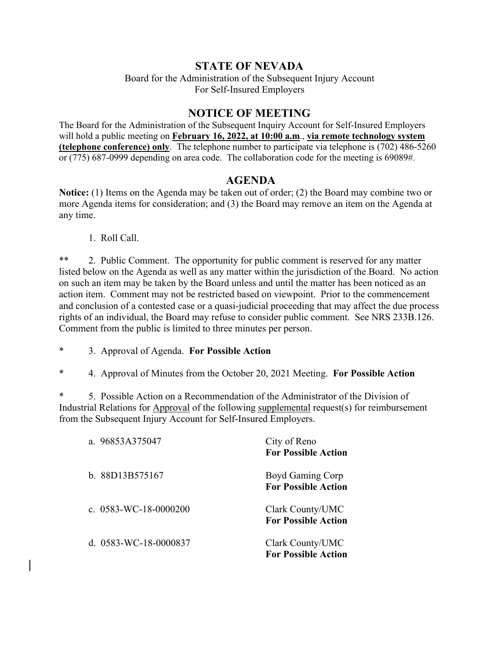## **STATE OF NEVADA**

Board for the Administration of the Subsequent Injury Account For Self-Insured Employers

## **NOTICE OF MEETING**

The Board for the Administration of the Subsequent Inquiry Account for Self-Insured Employers will hold a public meeting on **February 16, 2022, at 10:00 a.m**., **via remote technology system (telephone conference) only**. The telephone number to participate via telephone is (702) 486-5260 or (775) 687-0999 depending on area code. The collaboration code for the meeting is 69089#.

## **AGENDA**

**Notice:** (1) Items on the Agenda may be taken out of order; (2) the Board may combine two or more Agenda items for consideration; and (3) the Board may remove an item on the Agenda at any time.

1. Roll Call.

\*\* 2. Public Comment. The opportunity for public comment is reserved for any matter listed below on the Agenda as well as any matter within the jurisdiction of the Board. No action on such an item may be taken by the Board unless and until the matter has been noticed as an action item. Comment may not be restricted based on viewpoint. Prior to the commencement and conclusion of a contested case or a quasi-judicial proceeding that may affect the due process rights of an individual, the Board may refuse to consider public comment. See NRS 233B.126. Comment from the public is limited to three minutes per person.

- \* 3. Approval of Agenda. **For Possible Action**
- \* 4. Approval of Minutes from the October 20, 2021 Meeting. **For Possible Action**

\* 5. Possible Action on a Recommendation of the Administrator of the Division of Industrial Relations for Approval of the following supplemental request(s) for reimbursement from the Subsequent Injury Account for Self-Insured Employers.

| a. 96853A375047         | City of Reno<br><b>For Possible Action</b>     |
|-------------------------|------------------------------------------------|
| b. 88D13B575167         | Boyd Gaming Corp<br><b>For Possible Action</b> |
| c. $0583-WC-18-0000200$ | Clark County/UMC<br><b>For Possible Action</b> |
| d. $0583-WC-18-0000837$ | Clark County/UMC<br><b>For Possible Action</b> |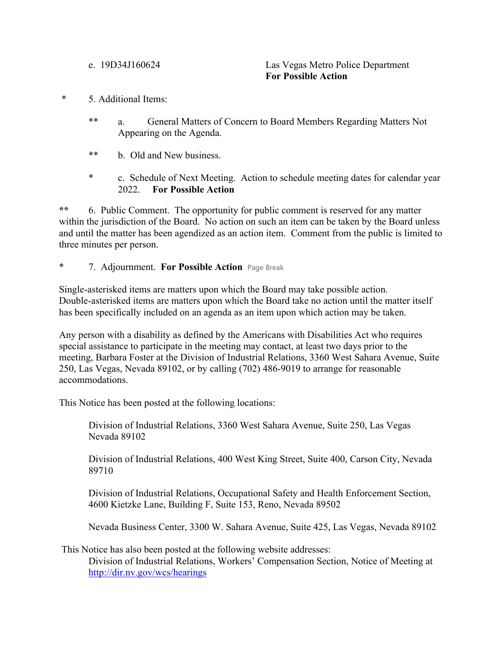e. 19D34J160624 Las Vegas Metro Police Department **For Possible Action**

- \* 5. Additional Items:
	- \*\* a. General Matters of Concern to Board Members Regarding Matters Not Appearing on the Agenda.
	- \*\* b. Old and New business.
	- \* c. Schedule of Next Meeting. Action to schedule meeting dates for calendar year 2022. **For Possible Action**

**\*\*** 6. Public Comment. The opportunity for public comment is reserved for any matter within the jurisdiction of the Board. No action on such an item can be taken by the Board unless and until the matter has been agendized as an action item. Comment from the public is limited to three minutes per person.

\* 7. Adjournment. **For Possible Action** Page Break

Single-asterisked items are matters upon which the Board may take possible action. Double-asterisked items are matters upon which the Board take no action until the matter itself has been specifically included on an agenda as an item upon which action may be taken.

Any person with a disability as defined by the Americans with Disabilities Act who requires special assistance to participate in the meeting may contact, at least two days prior to the meeting, Barbara Foster at the Division of Industrial Relations, 3360 West Sahara Avenue, Suite 250, Las Vegas, Nevada 89102, or by calling (702) 486-9019 to arrange for reasonable accommodations.

This Notice has been posted at the following locations:

Division of Industrial Relations, 3360 West Sahara Avenue, Suite 250, Las Vegas Nevada 89102

Division of Industrial Relations, 400 West King Street, Suite 400, Carson City, Nevada 89710

Division of Industrial Relations, Occupational Safety and Health Enforcement Section, 4600 Kietzke Lane, Building F, Suite 153, Reno, Nevada 89502

Nevada Business Center, 3300 W. Sahara Avenue, Suite 425, Las Vegas, Nevada 89102

This Notice has also been posted at the following website addresses:

Division of Industrial Relations, Workers' Compensation Section, Notice of Meeting at <http://dir.nv.gov/wcs/hearings>